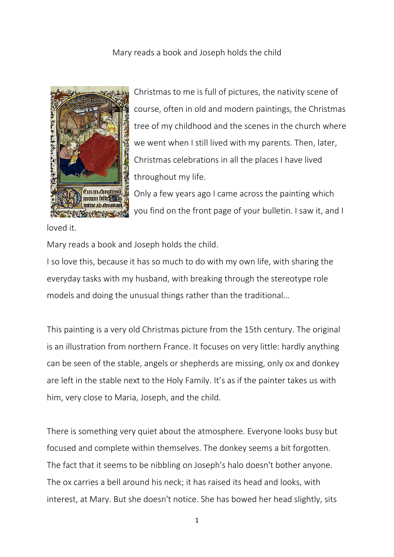Mary reads a book and Joseph holds the child



Christmas to me is full of pictures, the nativity scene of course, often in old and modern paintings, the Christmas tree of my childhood and the scenes in the church where we went when I still lived with my parents. Then, later, Christmas celebrations in all the places I have lived throughout my life.

Only a few years ago I came across the painting which you find on the front page of your bulletin. I saw it, and I

loved it.

Mary reads a book and Joseph holds the child.

I so love this, because it has so much to do with my own life, with sharing the everyday tasks with my husband, with breaking through the stereotype role models and doing the unusual things rather than the traditional…

This painting is a very old Christmas picture from the 15th century. The original is an illustration from northern France. It focuses on very little: hardly anything can be seen of the stable, angels or shepherds are missing, only ox and donkey are left in the stable next to the Holy Family. It's as if the painter takes us with him, very close to Maria, Joseph, and the child.

There is something very quiet about the atmosphere. Everyone looks busy but focused and complete within themselves. The donkey seems a bit forgotten. The fact that it seems to be nibbling on Joseph's halo doesn't bother anyone. The ox carries a bell around his neck; it has raised its head and looks, with interest, at Mary. But she doesn't notice. She has bowed her head slightly, sits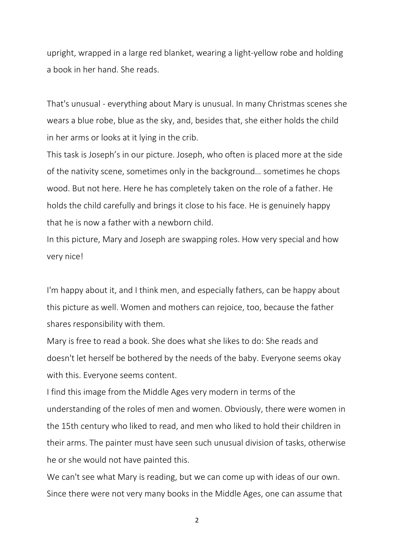upright, wrapped in a large red blanket, wearing a light-yellow robe and holding a book in her hand. She reads.

That's unusual - everything about Mary is unusual. In many Christmas scenes she wears a blue robe, blue as the sky, and, besides that, she either holds the child in her arms or looks at it lying in the crib.

This task is Joseph's in our picture. Joseph, who often is placed more at the side of the nativity scene, sometimes only in the background… sometimes he chops wood. But not here. Here he has completely taken on the role of a father. He holds the child carefully and brings it close to his face. He is genuinely happy that he is now a father with a newborn child.

In this picture, Mary and Joseph are swapping roles. How very special and how very nice!

I'm happy about it, and I think men, and especially fathers, can be happy about this picture as well. Women and mothers can rejoice, too, because the father shares responsibility with them.

Mary is free to read a book. She does what she likes to do: She reads and doesn't let herself be bothered by the needs of the baby. Everyone seems okay with this. Everyone seems content.

I find this image from the Middle Ages very modern in terms of the understanding of the roles of men and women. Obviously, there were women in the 15th century who liked to read, and men who liked to hold their children in their arms. The painter must have seen such unusual division of tasks, otherwise he or she would not have painted this.

We can't see what Mary is reading, but we can come up with ideas of our own. Since there were not very many books in the Middle Ages, one can assume that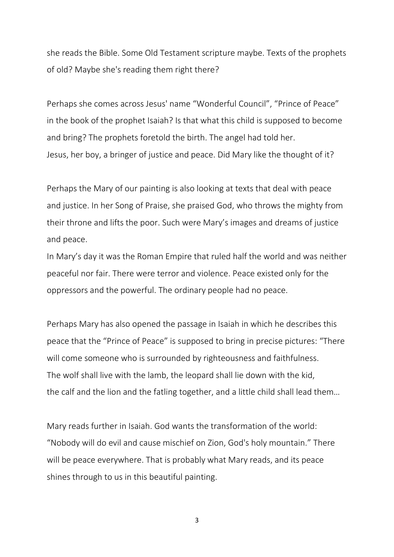she reads the Bible. Some Old Testament scripture maybe. Texts of the prophets of old? Maybe she's reading them right there?

Perhaps she comes across Jesus' name "Wonderful Council", "Prince of Peace" in the book of the prophet Isaiah? Is that what this child is supposed to become and bring? The prophets foretold the birth. The angel had told her. Jesus, her boy, a bringer of justice and peace. Did Mary like the thought of it?

Perhaps the Mary of our painting is also looking at texts that deal with peace and justice. In her Song of Praise, she praised God, who throws the mighty from their throne and lifts the poor. Such were Mary's images and dreams of justice and peace.

In Mary's day it was the Roman Empire that ruled half the world and was neither peaceful nor fair. There were terror and violence. Peace existed only for the oppressors and the powerful. The ordinary people had no peace.

Perhaps Mary has also opened the passage in Isaiah in which he describes this peace that the "Prince of Peace" is supposed to bring in precise pictures: "There will come someone who is surrounded by righteousness and faithfulness. The wolf shall live with the lamb, the leopard shall lie down with the kid, the calf and the lion and the fatling together, and a little child shall lead them…

Mary reads further in Isaiah. God wants the transformation of the world: "Nobody will do evil and cause mischief on Zion, God's holy mountain." There will be peace everywhere. That is probably what Mary reads, and its peace shines through to us in this beautiful painting.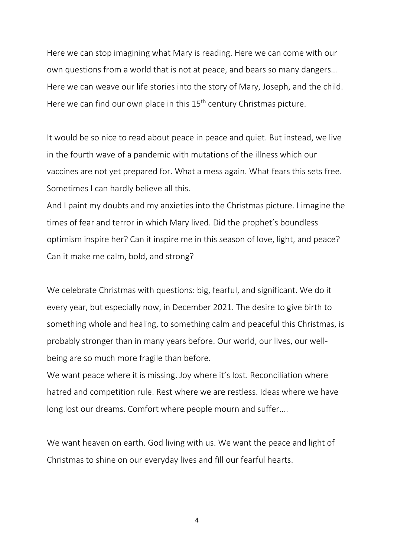Here we can stop imagining what Mary is reading. Here we can come with our own questions from a world that is not at peace, and bears so many dangers… Here we can weave our life stories into the story of Mary, Joseph, and the child. Here we can find our own place in this 15<sup>th</sup> century Christmas picture.

It would be so nice to read about peace in peace and quiet. But instead, we live in the fourth wave of a pandemic with mutations of the illness which our vaccines are not yet prepared for. What a mess again. What fears this sets free. Sometimes I can hardly believe all this.

And I paint my doubts and my anxieties into the Christmas picture. I imagine the times of fear and terror in which Mary lived. Did the prophet's boundless optimism inspire her? Can it inspire me in this season of love, light, and peace? Can it make me calm, bold, and strong?

We celebrate Christmas with questions: big, fearful, and significant. We do it every year, but especially now, in December 2021. The desire to give birth to something whole and healing, to something calm and peaceful this Christmas, is probably stronger than in many years before. Our world, our lives, our wellbeing are so much more fragile than before.

We want peace where it is missing. Joy where it's lost. Reconciliation where hatred and competition rule. Rest where we are restless. Ideas where we have long lost our dreams. Comfort where people mourn and suffer....

We want heaven on earth. God living with us. We want the peace and light of Christmas to shine on our everyday lives and fill our fearful hearts.